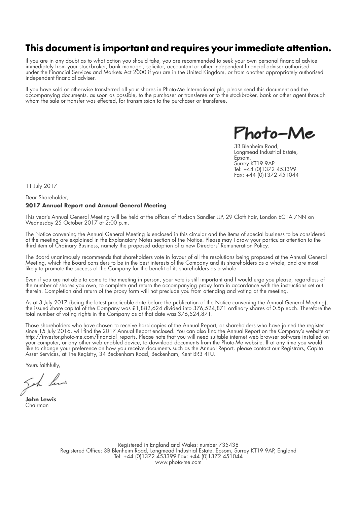# **This document is important and requires your immediate attention.**

If you are in any doubt as to what action you should take, you are recommended to seek your own personal financial advice immediately from your stockbroker, bank manager, solicitor, accountant or other independent financial adviser authorised under the Financial Services and Markets Act 2000 if you are in the United Kingdom, or from another appropriately authorised independent financial adviser.

If you have sold or otherwise transferred all your shares in Photo-Me International plc, please send this document and the accompanying documents, as soon as possible, to the purchaser or transferee or to the stockbroker, bank or other agent through whom the sale or transfer was effected, for transmission to the purchaser or transferee.

hoto-Me

3B Blenheim Road, Longmead Industrial Estate, Epsom, Surrey KT19 9AP Tel: +44 (0)1372 453399 Fax: +44 (0)1372 451044

11 July 2017

#### Dear Shareholder, **2017 Annual Report and Annual General Meeting**

This year's Annual General Meeting will be held at the offices of Hudson Sandler LLP, 29 Cloth Fair, London EC1A 7NN on Wednesday 25 October 2017 at 2:00 p.m.

The Notice convening the Annual General Meeting is enclosed in this circular and the items of special business to be considered at the meeting are explained in the Explanatory Notes section of the Notice. Please may I draw your particular attention to the third item of Ordinary Business, namely the proposed adoption of a new Directors' Remuneration Policy.

The Board unanimously recommends that shareholders vote in favour of all the resolutions being proposed at the Annual General Meeting, which the Board considers to be in the best interests of the Company and its shareholders as a whole, and are most likely to promote the success of the Company for the benefit of its shareholders as a whole.

Even if you are not able to come to the meeting in person, your vote is still important and I would urge you please, regardless of the number of shares you own, to complete and return the accompanying proxy form in accordance with the instructions set out therein. Completion and return of the proxy form will not preclude you from attending and voting at the meeting.

As at 3 July 2017 (being the latest practicable date before the publication of the Notice convening the Annual General Meeting), the issued share capital of the Company was £1,882,624 divided into 376,524,871 ordinary shares of 0.5p each. Therefore the total number of voting rights in the Company as at that date was 376,524,871.

Those shareholders who have chosen to receive hard copies of the Annual Report, or shareholders who have joined the register since 15 July 2016, will find the 2017 Annual Report enclosed. You can also find the Annual Report on the Company's website at http://investor.photo-me.com/financial\_reports. Please note that you will need suitable internet web browser software installed on your computer, or any other web enabled device, to download documents from the Photo-Me website. If at any time you would like to change your preference on how you receive documents such as the Annual Report, please contact our Registrars, Capita Asset Services, at The Registry, 34 Beckenham Road, Beckenham, Kent BR3 4TU.

Yours faithfully,

Seh ha

**John Lewis** Chairman

Registered in England and Wales: number 735438 Registered Office: 3B Blenheim Road, Longmead Industrial Estate, Epsom, Surrey KT19 9AP, England Tel: +44 (0)1372 453399 Fax: +44 (0)1372 451044 www.photo-me.com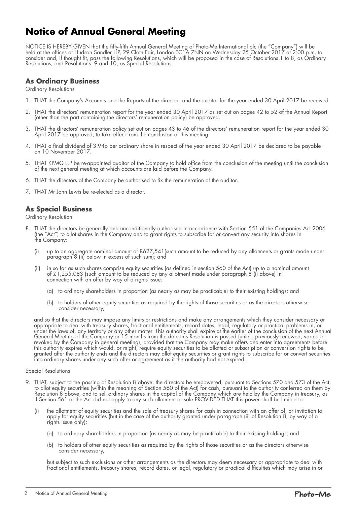# **Notice of Annual General Meeting**

NOTICE IS HEREBY GIVEN that the fifty-fifth Annual General Meeting of Photo-Me International plc (the "Company") will be held at the offices of Hudson Sandler LLP, 29 Cloth Fair, London EC1A 7NN on Wednesday 25 October 2017 at 2:00 p.m. to consider and, if thought fit, pass the following Resolutions, which will be proposed in the case of Resolutions 1 to 8, as Ordinary Resolutions, and Resolutions 9 and 10, as Special Resolutions.

## **As Ordinary Business**

Ordinary Resolutions

- 1. THAT the Company's Accounts and the Reports of the directors and the auditor for the year ended 30 April 2017 be received.
- 2. THAT the directors' remuneration report for the year ended 30 April 2017 as set out on pages 42 to 52 of the Annual Report (other than the part containing the directors' remuneration policy) be approved.
- 3. THAT the directors' remuneration policy set out on pages 43 to 46 of the directors' remuneration report for the year ended 30 April 2017 be approved, to take effect from the conclusion of this meeting.
- 4. THAT a final dividend of 3.94p per ordinary share in respect of the year ended 30 April 2017 be declared to be payable on 10 November 2017.
- 5. THAT KPMG LLP be re-appointed auditor of the Company to hold office from the conclusion of the meeting until the conclusion of the next general meeting at which accounts are laid before the Company.
- 6. THAT the directors of the Company be authorised to fix the remuneration of the auditor.
- 7. THAT Mr John Lewis be re-elected as a director.

### **As Special Business**

Ordinary Resolution

- 8. THAT the directors be generally and unconditionally authorised in accordance with Section 551 of the Companies Act 2006 (the "Act") to allot shares in the Company and to grant rights to subscribe for or convert any security into shares in the Company:
	- (i) up to an aggregate nominal amount of £627,541(such amount to be reduced by any allotments or grants made under paragraph 8 (ii) below in excess of such sum); and
	- (ii) in so far as such shares comprise equity securities (as defined in section 560 of the Act) up to a nominal amount of £1,255,083 (such amount to be reduced by any allotment made under paragraph 8 (i) above) in connection with an offer by way of a rights issue:
		- (a) to ordinary shareholders in proportion (as nearly as may be practicable) to their existing holdings; and
		- (b) to holders of other equity securities as required by the rights of those securities or as the directors otherwise consider necessary,

and so that the directors may impose any limits or restrictions and make any arrangements which they consider necessary or appropriate to deal with treasury shares, fractional entitlements, record dates, legal, regulatory or practical problems in, or under the laws of, any territory or any other matter. This authority shall expire at the earlier of the conclusion of the next Annual General Meeting of the Company or 15 months from the date this Resolution is passed (unless previously renewed, varied or revoked by the Company in general meeting), provided that the Company may make offers and enter into agreements before this authority expires which would, or might, require equity securities to be allotted or subscription or conversion rights to be granted after the authority ends and the directors may allot equity securities or grant rights to subscribe for or convert securities into ordinary shares under any such offer or agreement as if the authority had not expired.

#### Special Resolutions

- 9. THAT, subject to the passing of Resolution 8 above, the directors be empowered, pursuant to Sections 570 and 573 of the Act, to allot equity securities (within the meaning of Section 560 of the Act) for cash, pursuant to the authority conferred on them by Resolution 8 above, and to sell ordinary shares in the capital of the Company which are held by the Company in treasury, as if Section 561 of the Act did not apply to any such allotment or sale PROVIDED THAT this power shall be limited to:
	- (i) the allotment of equity securities and the sale of treasury shares for cash in connection with an offer of, or invitation to apply for equity securities (but in the case of the authority granted under paragraph (ii) of Resolution 8, by way of a rights issue only):
		- (a) to ordinary shareholders in proportion (as nearly as may be practicable) to their existing holdings; and
		- (b) to holders of other equity securities as required by the rights of those securities or as the directors otherwise consider necessary,

but subject to such exclusions or other arrangements as the directors may deem necessary or appropriate to deal with fractional entitlements, treasury shares, record dates, or legal, regulatory or practical difficulties which may arise in or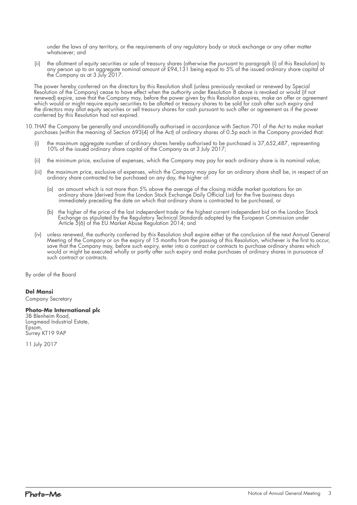under the laws of any territory, or the requirements of any regulatory body or stock exchange or any other matter whatsoever; and

(ii) the allotment of equity securities or sale of treasury shares (otherwise the pursuant to paragraph (i) of this Resolution) to any person up to an aggregate nominal amount of £94,131 being equal to 5% of the issued ordinary share capital of the Company as at 3 July 2017.

The power hereby conferred on the directors by this Resolution shall (unless previously revoked or renewed by Special Resolution of the Company) cease to have effect when the authority under Resolution 8 above is revoked or would (if not renewed) expire, save that the Company may, before the power given by this Resolution expires, make an offer or agreement which would or might require equity securities to be allotted or treasury shares to be sold for cash after such expiry and the directors may allot equity securities or sell treasury shares for cash pursuant to such offer or agreement as if the power conferred by this Resolution had not expired.

- 10. THAT the Company be generally and unconditionally authorised in accordance with Section 701 of the Act to make market purchases (within the meaning of Section 693(4) of the Act) of ordinary shares of 0.5p each in the Company provided that:
	- (i) the maximum aggregate number of ordinary shares hereby authorised to be purchased is 37,652,487, representing 10% of the issued ordinary share capital of the Company as at 3 July 2017;
	- (ii) the minimum price, exclusive of expenses, which the Company may pay for each ordinary share is its nominal value;
	- (iii) the maximum price, exclusive of expenses, which the Company may pay for an ordinary share shall be, in respect of an ordinary share contracted to be purchased on any day, the higher of:
		- (a) an amount which is not more than 5% above the average of the closing middle market quotations for an ordinary share (derived from the London Stock Exchange Daily Official List) for the five business days immediately preceding the date on which that ordinary share is contracted to be purchased, or
		- (b) the higher of the price of the last independent trade or the highest current independent bid on the London Stock Exchange as stipulated by the Regulatory Technical Standards adopted by the European Commission under Article 5(6) of the EU Market Abuse Regulation 2014; and
	- (iv) unless renewed, the authority conferred by this Resolution shall expire either at the conclusion of the next Annual General Meeting of the Company or on the expiry of 15 months from the passing of this Resolution, whichever is the first to occur, save that the Company may, before such expiry, enter into a contract or contracts to purchase ordinary shares which would or might be executed wholly or partly after such expiry and make purchases of ordinary shares in pursuance of such contract or contracts.

By order of the Board

#### **Del Mansi**

Company Secretary

#### **Photo-Me International plc**

3B Blenheim Road, Longmead Industrial Estate, Epsom, Surrey KT19 9AP

11 July 2017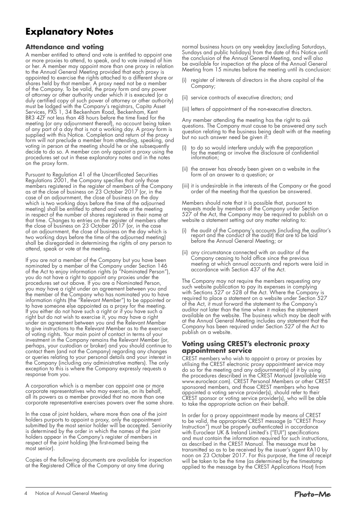# **Explanatory Notes**

## **Attendance and voting**

A member entitled to attend and vote is entitled to appoint one or more proxies to attend, to speak, and to vote instead of him or her. A member may appoint more than one proxy in relation to the Annual General Meeting provided that each proxy is appointed to exercise the rights attached to a different share or shares held by that member. A proxy need not be a member of the Company. To be valid, the proxy form and any power of attorney or other authority under which it is executed (or a duly certified copy of such power of attorney or other authority) must be lodged with the Company's registrars, Capita Asset Services, PXS 1, 34 Beckenham Road, Beckenham, Kent BR3 4ZF not less than 48 hours before the time fixed for the meeting (or any adjournment thereof), no account being taken of any part of a day that is not a working day. A proxy form is supplied with this Notice. Completion and return of the proxy form will not preclude a member from attending, speaking, and voting in person at the meeting should he or she subsequently decide to do so. A member can only appoint a proxy using the procedures set out in these explanatory notes and in the notes on the proxy form.

Pursuant to Regulation 41 of the Uncertificated Securities Regulations 2001, the Company specifies that only those members registered in the register of members of the Company as at the close of business on 23 October 2017 (or, in the case of an adjournment, the close of business on the day which is two working days before the time of the adjourned meeting) shall be entitled to attend and vote at the meeting in respect of the number of shares registered in their name at that time. Changes to entries on the register of members after the close of business on 23 October 2017 (or, in the case of an adjournment, the close of business on the day which is two working days before the time of the adjourned meeting) shall be disregarded in determining the rights of any person to attend, speak or vote at the meeting.

If you are not a member of the Company but you have been nominated by a member of the Company under Section 146 of the Act to enjoy information rights (a "Nominated Person"), you do not have a right to appoint any proxies under the procedures set out above. If you are a Nominated Person, you may have a right under an agreement between you and the member of the Company who has nominated you to have information rights (the "Relevant Member") to be appointed or to have someone else appointed as a proxy for the meeting. If you either do not have such a right or if you have such a right but do not wish to exercise it, you may have a right under an agreement between you and the Relevant Member to give instructions to the Relevant Member as to the exercise of voting rights. Your main point of contact in terms of your investment in the Company remains the Relevant Member (or, perhaps, your custodian or broker) and you should continue to contact them (and not the Company) regarding any changes or queries relating to your personal details and your interest in the Company (including any administrative matters). The only exception to this is where the Company expressly requests a response from you.

A corporation which is a member can appoint one or more corporate representatives who may exercise, on its behalf, all its powers as a member provided that no more than one corporate representative exercises powers over the same share.

In the case of joint holders, where more than one of the joint holders purports to appoint a proxy, only the appointment submitted by the most senior holder will be accepted. Seniority is determined by the order in which the names of the joint holders appear in the Company's register of members in respect of the joint holding (the first-named being the most senior).

Copies of the following documents are available for inspection at the Registered Office of the Company at any time during

normal business hours on any weekday (excluding Saturdays, Sundays and public holidays) from the date of this Notice until the conclusion of the Annual General Meeting, and will also be available for inspection at the place of the Annual General Meeting from 15 minutes before the meeting until its conclusion:

- register of interests of directors in the share capital of the Company;
- (ii) service contracts of executive directors; and
- (iii) letters of appointment of the non-executive directors.

Any member attending the meeting has the right to ask questions. The Company must cause to be answered any such question relating to the business being dealt with at the meeting but no such answer need be given if:

- (i) to do so would interfere unduly with the preparation for the meeting or involve the disclosure of confidential information;
- (ii) the answer has already been given on a website in the form of an answer to a question; or
- (iii) it is undesirable in the interests of the Company or the good order of the meeting that the question be answered.

Members should note that it is possible that, pursuant to requests made by members of the Company under Section 527 of the Act, the Company may be required to publish on a website a statement setting out any matter relating to:

- (i) the audit of the Company's accounts (including the auditor's report and the conduct of the audit) that are to be laid before the Annual General Meeting; or
- (ii) any circumstance connected with an auditor of the Company ceasing to hold office since the previous meeting at which annual accounts and reports were laid in accordance with Section 437 of the Act.

The Company may not require the members requesting any such website publication to pay its expenses in complying with Sections 527 or 528 of the Act. Where the Company is required to place a statement on a website under Section 527 of the Act, it must forward the statement to the Company's auditor not later than the time when it makes the statement available on the website. The business which may be dealt with at the Annual General Meeting includes any statement that the Company has been required under Section 527 of the Act to publish on a website.

### **Voting using CREST's electronic proxy appointment service**

CREST members who wish to appoint a proxy or proxies by utilising the CREST electronic proxy appointment service may do so for the meeting and any adjournment(s) of it by using the procedures described in the CREST Manual (available via www.euroclear.com). CREST Personal Members or other CREST sponsored members, and those CREST members who have appointed a voting service provider(s), should refer to their CREST sponsor or voting service provider(s), who will be able to take the appropriate action on their behalf.

In order for a proxy appointment made by means of CREST to be valid, the appropriate CREST message (a "CREST Proxy Instruction") must be properly authenticated in accordance with Euroclear UK & Ireland Limited's ("EUI") specifications and must contain the information required for such instructions, as described in the CREST Manual. The message must be transmitted so as to be received by the issuer's agent RA10 by noon on 23 October 2017. For this purpose, the time of receipt will be taken to be the time (as determined by the timestamp applied to the message by the CREST Applications Host) from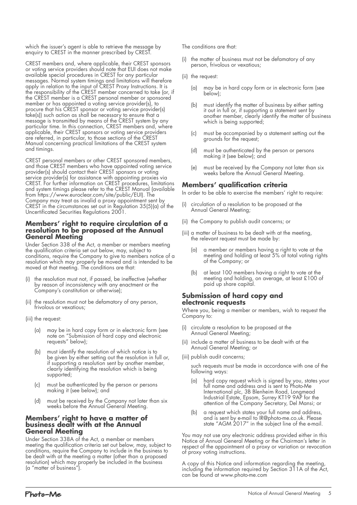which the issuer's agent is able to retrieve the message by enquiry to CREST in the manner prescribed by CREST.

CREST members and, where applicable, their CREST sponsors or voting service providers should note that EUI does not make available special procedures in CREST for any particular messages. Normal system timings and limitations will therefore apply in relation to the input of CREST Proxy Instructions. It is the responsibility of the CREST member concerned to take (or, if the CREST member is a CREST personal member or sponsored member or has appointed a voting service provider(s), to procure that his CREST sponsor or voting service provider(s) take(s)) such action as shall be necessary to ensure that a message is transmitted by means of the CREST system by any particular time. In this connection, CREST members and, where applicable, their CREST sponsors or voting service providers are referred, in particular, to those sections of the CREST Manual concerning practical limitations of the CREST system and timings.

CREST personal members or other CREST sponsored members, and those CREST members who have appointed voting service provider(s) should contact their CREST sponsors or voting service provider(s) for assistance with appointing proxies via CREST. For further information on CREST procedures, limitations and system timings please refer to the CREST Manual (available from https://www.euroclear.com/site/public/EUI). The Company may treat as invalid a proxy appointment sent by CREST in the circumstances set out in Regulation 35(5)(a) of the Uncertificated Securities Regulations 2001.

#### **Members' right to require circulation of a resolution to be proposed at the Annual General Meeting**

Under Section 338 of the Act, a member or members meeting the qualification criteria set out below, may, subject to conditions, require the Company to give to members notice of a resolution which may properly be moved and is intended to be moved at that meeting. The conditions are that:

- the resolution must not, if passed, be ineffective (whether by reason of inconsistency with any enactment or the Company's constitution or otherwise);
- (ii) the resolution must not be defamatory of any person, frivolous or vexatious;
- (iii) the request:
	- (a) may be in hard copy form or in electronic form (see note on "Submission of hard copy and electronic riore on bobinium
	- (b) must identify the resolution of which notice is to be given by either setting out the resolution in full or, if supporting a resolution sent by another member, clearly identifying the resolution which is being supported;
	- (c) must be authenticated by the person or persons making it (see below); and
	- (d) must be received by the Company not later than six weeks before the Annual General Meeting.

#### **Members' right to have a matter of business dealt with at the Annual General Meeting**

Under Section 338A of the Act, a member or members meeting the qualification criteria set out below, may, subject to conditions, require the Company to include in the business to be dealt with at the meeting a matter (other than a proposed resolution) which may properly be included in the business (a "matter of business").

The conditions are that:

- (i) the matter of business must not be defamatory of any person, frivolous or vexatious;
- (ii) the request:
	- (a) may be in hard copy form or in electronic form (see below);
	- (b) must identify the matter of business by either setting it out in full or, if supporting a statement sent by another member, clearly identify the matter of business which is being supported;
	- (c) must be accompanied by a statement setting out the grounds for the request;
	- (d) must be authenticated by the person or persons making it (see below); and
	- (e) must be received by the Company not later than six weeks before the Annual General Meeting.

## **Members' qualification criteria**

In order to be able to exercise the members' right to require:

- (i) circulation of a resolution to be proposed at the Annual General Meeting;
- (ii) the Company to publish audit concerns; or
- (iii) a matter of business to be dealt with at the meeting, the relevant request must be made by:
	- (a) a member or members having a right to vote at the meeting and holding at least 5% of total voting rights of the Company; or
	- (b) at least 100 members having a right to vote at the meeting and holding, on average, at least £100 of paid up share capital.

#### **Submission of hard copy and electronic requests**

Where you, being a member or members, wish to request the Company to:

- (i) circulate a resolution to be proposed at the Annual General Meeting;
- (ii) include a matter of business to be dealt with at the Annual General Meeting; or
- (iii) publish audit concerns;

such requests must be made in accordance with one of the following ways:

- (a) hard copy request which is signed by you, states your full name and address and is sent to Photo-Me International plc, 3B Blenheim Road, Longmead Industrial Estate, Epsom, Surrey KT19 9AP for the attention of the Company Secretary, Del Mansi; or
	- (b) a request which states your full name and address, and is sent by e-mail to IR@photo-me.co.uk. Please state "AGM 2017" in the subject line of the e-mail.

You may not use any electronic address provided either in this Notice of Annual General Meeting or the Chairman's letter in respect of the appointment of a proxy or variation or revocation of proxy voting instructions.

A copy of this Notice and information regarding the meeting, including the information required by Section 311A of the Act, can be found at www.photo-me.com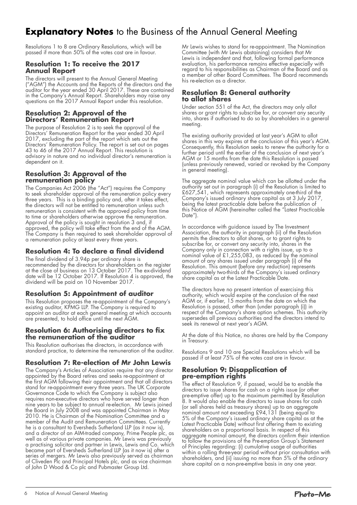# **Explanatory Notes** to the Business of the Annual General Meeting

Resolutions 1 to 8 are Ordinary Resolutions, which will be passed if more than 50% of the votes cast are in favour.

#### **Resolution 1: To receive the 2017 Annual Report**

The directors will present to the Annual General Meeting ("AGM") the Accounts and the Reports of the directors and the auditor for the year ended 30 April 2017. These are contained in the Company's Annual Report. Shareholders may raise any questions on the 2017 Annual Report under this resolution.

### **Resolution 2: Approval of the Directors' Remuneration Report**

The purpose of Resolution 2 is to seek the approval of the Directors' Remuneration Report for the year ended 30 April 2017, excluding the part of the report which sets out the Directors' Remuneration Policy. The report is set out on pages 43 to 46 of the 2017 Annual Report. This resolution is advisory in nature and no individual director's remuneration is dependent on it.

#### **Resolution 3: Approval of the remuneration policy**

The Companies Act 2006 (the "Act") requires the Company to seek shareholder approval of the remuneration policy every three years. This is a binding policy and, after it takes effect, the directors will not be entitled to remuneration unless such remuneration is consistent with the approved policy from time to time or shareholders otherwise approve the remuneration. Approval of the policy is sought in resolution 3 and, if approved, the policy will take effect from the end of the AGM. The Company is then required to seek shareholder approval of a remuneration policy at least every three years.

## **Resolution 4: To declare a final dividend**

The final dividend of 3.94p per ordinary share is recommended by the directors for shareholders on the register at the close of business on 13 October 2017. The ex-dividend date will be 12 October 2017. If Resolution 4 is approved, the dividend will be paid on 10 November 2017.

## **Resolution 5: Appointment of auditor**

This Resolution proposes the re-appointment of the Company's existing auditor, KPMG LLP. The Company is required to appoint an auditor at each general meeting at which accounts are presented, to hold office until the next AGM.

#### **Resolution 6: Authorising directors to fix the remuneration of the auditor**

This Resolution authorises the directors, in accordance with standard practice, to determine the remuneration of the auditor.

## **Resolution 7: Re-election of Mr John Lewis**

The Company's Articles of Association require that any director appointed by the Board retires and seeks re-appointment at the first AGM following their appointment and that all directors stand for re-appointment every three years. The UK Corporate Governance Code to which the Company is subject also requires non-executive directors who have served longer than nine years to be subject to annual re-election. Mr Lewis joined the Board in July 2008 and was appointed Chairman in May 2010. He is Chairman of the Nomination Committee and a member of the Audit and Remuneration Committees. Currently he is a consultant to Eversheds Sutherland LLP (as it now is), and a director of an AIM-traded company, Prime People plc, as well as of various private companies. Mr Lewis was previously a practising solicitor and partner in Lewis, Lewis and Co. which became part of Eversheds Sutherland LLP (as it now is) after a series of mergers. Mr Lewis also previously served as chairman of Cliveden Plc and Principal Hotels plc, and as vice chairman of John D Wood & Co plc and Pubmaster Group Ltd.

Mr Lewis wishes to stand for re-appointment. The Nomination Committee (with Mr Lewis abstaining) considers that Mr Lewis is independent and that, following formal performance evaluation, his performance remains effective especially with regard to his responsibilities as Chairman of the Board and as a member of other Board Committees. The Board recommends his re-election as a director.

#### **Resolution 8: General authority to allot shares**

Under section 551 of the Act, the directors may only allot shares or grant rights to subscribe for, or convert any security into, shares if authorised to do so by shareholders in a general meeting.

The existing authority provided at last year's AGM to allot shares in this way expires at the conclusion of this year's AGM. Consequently, this Resolution seeks to renew the authority for a further period until the earlier of the conclusion of next year's AGM or 15 months from the date this Resolution is passed (unless previously renewed, varied or revoked by the Company in general meeting).

The aggregate nominal value which can be allotted under the authority set out in paragraph (i) of the Resolution is limited to £627,541, which represents approximately one-third of the Company's issued ordinary share capital as at 3 July 2017, being the latest practicable date before the publication of this Notice of AGM (hereinafter called the "Latest Practicable Date").

In accordance with guidance issued by The Investment Association, the authority in paragraph (ii) of the Resolution permits the directors to allot shares, or to grant rights to subscribe for, or convert any security into, shares in the Company only in connection with a rights issue, up to a nominal value of £1,255,083, as reduced by the nominal amount of any shares issued under paragraph (i) of the Resolution. This amount (before any reduction) represents approximately two-thirds of the Company's issued ordinary share capital as at the Latest Practicable Date.

The directors have no present intention of exercising this authority, which would expire at the conclusion of the next AGM or, if earlier, 15 months from the date on which the Resolution is passed, other than (under paragraph (i)) in respect of the Company's share option schemes. This authority supersedes all previous authorities and the directors intend to seek its renewal at next year's AGM.

At the date of this Notice, no shares are held by the Company in Treasury.

Resolutions 9 and 10 are Special Resolutions which will be passed if at least 75% of the votes cast are in favour.

#### **Resolution 9: Disapplication of pre-emption rights**

The effect of Resolution 9, if passed, would be to enable the directors to issue shares for cash on a rights issue (or other pre-emptive offer) up to the maximum permitted by Resolution 8. It would also enable the directors to issue shares for cash (or sell shares held as treasury shares) up to an aggregate nominal amount not exceeding £94,131 (being equal to 5% of the Company's issued ordinary share capital as at the Latest Practicable Date) without first offering them to existing shareholders on a proportional basis. In respect of this aggregate nominal amount, the directors confirm their intention to follow the provisions of the Pre-emption Group's Statement of Principles regarding: (i) cumulative usage of authorities within a rolling three-year period without prior consultation with shareholders, and (ii) issuing no more than 5% of the ordinary share capital on a non-pre-emptive basis in any one year.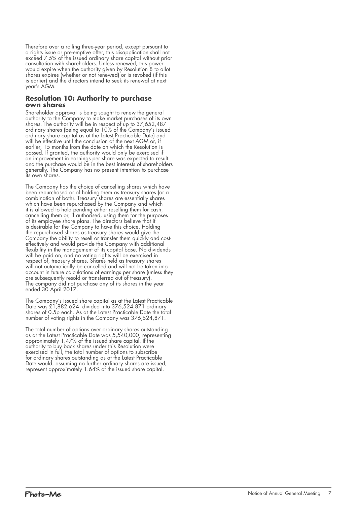Therefore over a rolling three-year period, except pursuant to a rights issue or pre-emptive offer, this disapplication shall not exceed 7.5% of the issued ordinary share capital without prior consultation with shareholders. Unless renewed, this power would expire when the authority given by Resolution 8 to allot shares expires (whether or not renewed) or is revoked (if this is earlier) and the directors intend to seek its renewal at next year's AGM.

### **Resolution 10: Authority to purchase own shares**

Shareholder approval is being sought to renew the general authority to the Company to make market purchases of its own shares. The authority will be in respect of up to 37,652,487 ordinary shares (being equal to 10% of the Company's issued ordinary share capital as at the Latest Practicable Date) and will be effective until the conclusion of the next AGM or, if earlier, 15 months from the date on which the Resolution is passed. If granted, the authority would only be exercised if an improvement in earnings per share was expected to result and the purchase would be in the best interests of shareholders generally. The Company has no present intention to purchase its own shares.

The Company has the choice of cancelling shares which have been repurchased or of holding them as treasury shares (or a combination of both). Treasury shares are essentially shares which have been repurchased by the Company and which it is allowed to hold pending either reselling them for cash, cancelling them or, if authorised, using them for the purposes of its employee share plans. The directors believe that it is desirable for the Company to have this choice. Holding the repurchased shares as treasury shares would give the Company the ability to resell or transfer them quickly and costeffectively and would provide the Company with additional flexibility in the management of its capital base. No dividends will be paid on, and no voting rights will be exercised in respect of, treasury shares. Shares held as treasury shares will not automatically be cancelled and will not be taken into account in future calculations of earnings per share (unless they are subsequently resold or transferred out of treasury). The company did not purchase any of its shares in the year ended 30 April 2017.

The Company's issued share capital as at the Latest Practicable Date was £1,882,624 divided into 376,524,871 ordinary shares of 0.5p each. As at the Latest Practicable Date the total number of voting rights in the Company was 376,524,871.

The total number of options over ordinary shares outstanding as at the Latest Practicable Date was 5,540,000, representing approximately 1.47% of the issued share capital. If the authority to buy back shares under this Resolution were exercised in full, the total number of options to subscribe for ordinary shares outstanding as at the Latest Practicable Date would, assuming no further ordinary shares are issued, represent approximately 1.64% of the issued share capital.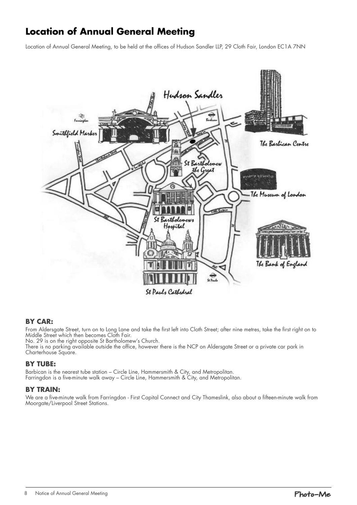# **Location of Annual General Meeting**

Location of Annual General Meeting, to be held at the offices of Hudson Sandler LLP, 29 Cloth Fair, London EC1A 7NN



### **BY CAR:**

From Aldersgate Street, turn on to Long Lane and take the first left into Cloth Street; after nine metres, take the first right on to Middle Street which then becomes Cloth Fair.

No. 29 is on the right opposite St Bartholomew's Church.

There is no parking available outside the office, however there is the NCP on Aldersgate Street or a private car park in Charterhouse Square.

## **BY TUBE:**

Barbican is the nearest tube station – Circle Line, Hammersmith & City, and Metropolitan. Farringdon is a five-minute walk away – Circle Line, Hammersmith & City, and Metropolitan.

### **BY TRAIN:**

We are a five-minute walk from Farringdon - First Capital Connect and City Thameslink, also about a fifteen-minute walk from Moorgate/Liverpool Street Stations.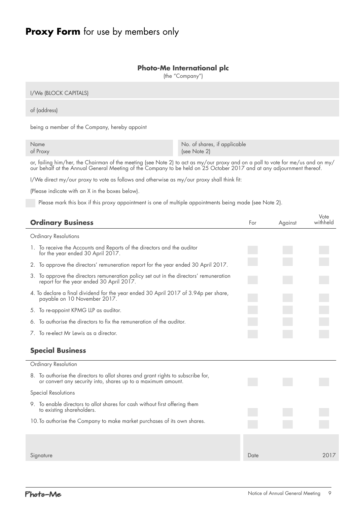# **Proxy Form** for use by members only

### **Photo-Me International plc**

(the "Company")

| I/We (BLOCK CAPITALS) |  |
|-----------------------|--|
| of (address)          |  |

being a member of the Company, hereby appoint

| Name     | No. of shares, if applicable |
|----------|------------------------------|
| of Proxy | (see Note 2)                 |

or, failing him/her, the Chairman of the meeting (see Note 2) to act as my/our proxy and on a poll to vote for me/us and on my/ our behalf at the Annual General Meeting of the Company to be held on 25 October 2017 and at any adjournment thereof.

I/We direct my/our proxy to vote as follows and otherwise as my/our proxy shall think fit:

(Please indicate with an X in the boxes below).

Please mark this box if this proxy appointment is one of multiple appointments being made (see Note 2).

| <b>Ordinary Business</b>                                                                                                                         | For  | Against | Vote<br>withheld |
|--------------------------------------------------------------------------------------------------------------------------------------------------|------|---------|------------------|
| <b>Ordinary Resolutions</b>                                                                                                                      |      |         |                  |
| 1. To receive the Accounts and Reports of the directors and the auditor<br>for the year ended 30 April 2017.                                     |      |         |                  |
| 2. To approve the directors' remuneration report for the year ended 30 April 2017.                                                               |      |         |                  |
| 3. To approve the directors remuneration policy set out in the directors' remuneration<br>report for the year ended 30 April 2017.               |      |         |                  |
| 4. To declare a final dividend for the year ended 30 April 2017 of 3.94p per share,<br>payable on 10 November 2017.                              |      |         |                  |
| 5. To re-appoint KPMG LLP as auditor.                                                                                                            |      |         |                  |
| 6. To authorise the directors to fix the remuneration of the auditor.                                                                            |      |         |                  |
| 7. To re-elect Mr Lewis as a director.                                                                                                           |      |         |                  |
| <b>Special Business</b>                                                                                                                          |      |         |                  |
| Ordinary Resolution                                                                                                                              |      |         |                  |
| 8. To authorise the directors to allot shares and grant rights to subscribe for,<br>or convert any security into, shares up to a maximum amount. |      |         |                  |
| <b>Special Resolutions</b>                                                                                                                       |      |         |                  |
| 9. To enable directors to allot shares for cash without first offering them<br>to existing shareholders.                                         |      |         |                  |
| 10. To authorise the Company to make market purchases of its own shares.                                                                         |      |         |                  |
|                                                                                                                                                  |      |         |                  |
| Signature                                                                                                                                        | Date |         | 2017             |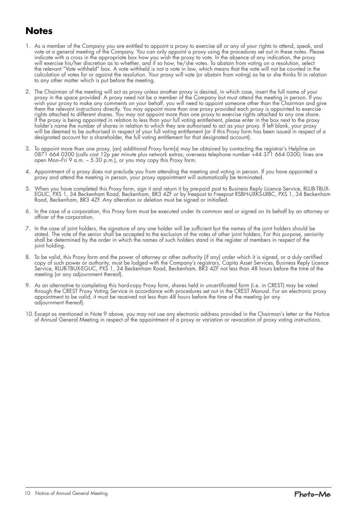# **Notes**

- 1. As a member of the Company you are entitled to appoint a proxy to exercise all or any of your rights to attend, speak, and vote at a general meeting of the Company. You can only appoint a proxy using the procedures set out in these notes. Please indicate with a cross in the appropriate box how you wish the proxy to vote. In the absence of any indication, the proxy will exercise his/her discretion as to whether, and if so how, he/she votes. To abstain from voting on a resolution, select the relevant "Vote withheld" box. A vote withheld is not a vote in law, which means that the vote will not be counted in the calculation of votes for or against the resolution. Your proxy will vote (or abstain from voting) as he or she thinks fit in relation to any other matter which is put before the meeting.
- 2. The Chairman of the meeting will act as proxy unless another proxy is desired, in which case, insert the full name of your proxy in the space provided. A proxy need not be a member of the Company but must attend the meeting in person. If you wish your proxy to make any comments on your behalf, you will need to appoint someone other than the Chairman and give them the relevant instructions directly. You may appoint more than one proxy provided each proxy is appointed to exercise rights attached to different shares. You may not appoint more than one proxy to exercise rights attached to any one share. If the proxy is being appointed in relation to less than your full voting entitlement, please enter in the box next to the proxy holder's name the number of shares in relation to which they are authorised to act as your proxy. If left blank, your proxy will be deemed to be authorised in respect of your full voting entitlement (or if this Proxy form has been issued in respect of a designated account for a shareholder, the full voting entitlement for that designated account).
- 3. To appoint more than one proxy, (an) additional Proxy form(s) may be obtained by contacting the registrar's Helpline on 0871 664 0300 (calls cost 12p per minute plus network extras; overseas telephone number +44 371 664 0300; lines are open Mon–Fri 9 a.m. – 5.30 p.m.), or you may copy this Proxy form.
- 4. Appointment of a proxy does not preclude you from attending the meeting and voting in person. If you have appointed a proxy and attend the meeting in person, your proxy appointment will automatically be terminated.
- 5. When you have completed this Proxy form, sign it and return it by pre-paid post to Business Reply Licence Service, RLUB-TBUX-EGUC, PXS 1, 34 Beckenham Road, Beckenham, BR3 4ZF or by freepost to Freepost RSBH-UXKS-LRBC, PXS 1, 34 Beckenham Road, Beckenham, BR3 4ZF. Any alteration or deletion must be signed or initialled.
- 6. In the case of a corporation, this Proxy form must be executed under its common seal or signed on its behalf by an attorney or officer of the corporation.
- 7. In the case of joint holders, the signature of any one holder will be sufficient but the names of the joint holders should be stated. The vote of the senior shall be accepted to the exclusion of the votes of other joint holders. For this purpose, seniority shall be determined by the order in which the names of such holders stand in the register of members in respect of the joint holding.
- 8. To be valid, this Proxy form and the power of attorney or other authority (if any) under which it is signed, or a duly certified copy of such power or authority, must be lodged with the Company's registrars, Capita Asset Services, Business Reply Licence Service, RLUB-TBUX-EGUC, PXS 1, 34 Beckenham Road, Beckenham, BR3 4ZF not less than 48 hours before the time of the meeting (or any adjournment thereof).
- 9. As an alternative to completing this hard-copy Proxy form, shares held in uncertificated form (i.e. in CREST) may be voted through the CREST Proxy Voting Service in accordance with procedures set out in the CREST Manual. For an electronic proxy appointment to be valid, it must be received not less than 48 hours before the time of the meeting (or any adjournment thereof).
- 10.Except as mentioned in Note 9 above, you may not use any electronic address provided in the Chairman's letter or the Notice of Annual General Meeting in respect of the appointment of a proxy or variation or revocation of proxy voting instructions.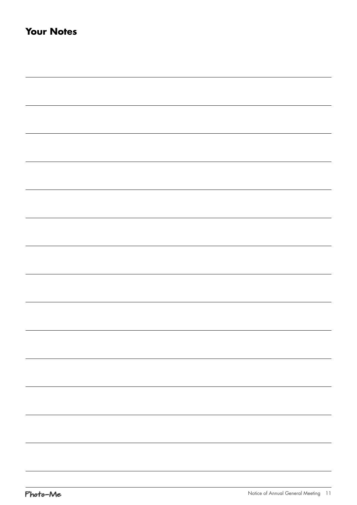| <u> 1989 - Johann Stoff, deutscher Stoff, der Stoff, der Stoff, der Stoff, der Stoff, der Stoff, der Stoff, der S</u> |  |  |
|-----------------------------------------------------------------------------------------------------------------------|--|--|
|                                                                                                                       |  |  |
|                                                                                                                       |  |  |
|                                                                                                                       |  |  |
|                                                                                                                       |  |  |
|                                                                                                                       |  |  |
|                                                                                                                       |  |  |
|                                                                                                                       |  |  |
|                                                                                                                       |  |  |
|                                                                                                                       |  |  |
|                                                                                                                       |  |  |
|                                                                                                                       |  |  |
|                                                                                                                       |  |  |
|                                                                                                                       |  |  |